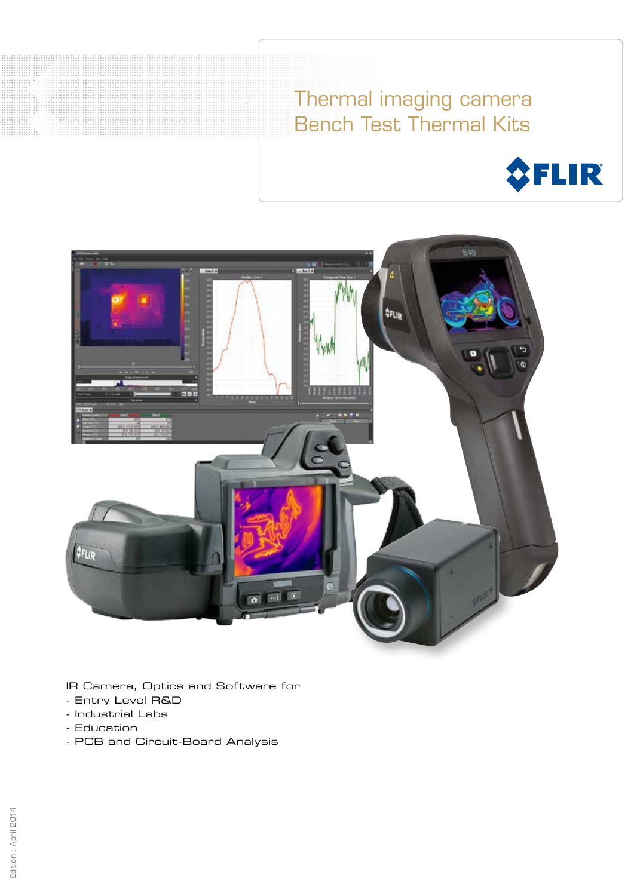Thermal imaging camera Bench Test Thermal Kits





IR Camera, Optics and Software for

- Entry Level R&D
- Industrial Labs
- Education

. . . . . . . . . . . . . . . . . .

- PCB and Circuit-Board Analysis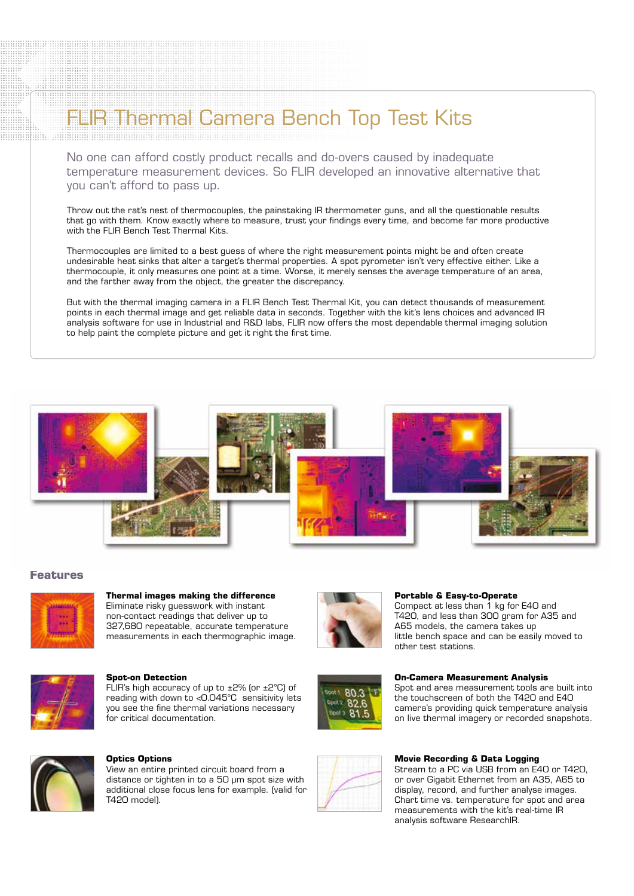## Thermal Camera Bench Top Test Kits

No one can afford costly product recalls and do-overs caused by inadequate temperature measurement devices. So FLIR developed an innovative alternative that you can't afford to pass up.

Throw out the rat's nest of thermocouples, the painstaking IR thermometer guns, and all the questionable results that go with them. Know exactly where to measure, trust your findings every time, and become far more productive with the FLIR Bench Test Thermal Kits.

Thermocouples are limited to a best guess of where the right measurement points might be and often create undesirable heat sinks that alter a target's thermal properties. A spot pyrometer isn't very effective either. Like a thermocouple, it only measures one point at a time. Worse, it merely senses the average temperature of an area, and the farther away from the object, the greater the discrepancy.

But with the thermal imaging camera in a FLIR Bench Test Thermal Kit, you can detect thousands of measurement points in each thermal image and get reliable data in seconds. Together with the kit's lens choices and advanced IR analysis software for use in Industrial and R&D labs, FLIR now offers the most dependable thermal imaging solution to help paint the complete picture and get it right the first time.



## **Features**



**Thermal images making the difference** Eliminate risky guesswork with instant non-contact readings that deliver up to 327,680 repeatable, accurate temperature measurements in each thermographic image.



#### **Spot-on Detection**

FLIR's high accuracy of up to ±2% (or ±2°C) of reading with down to <0.045°C sensitivity lets you see the fine thermal variations necessary for critical documentation.



#### **Optics Options**

View an entire printed circuit board from a distance or tighten in to a 50 µm spot size with additional close focus lens for example. (valid for T420 model).





Compact at less than 1 kg for E40 and T420, and less than 300 gram for A35 and A65 models, the camera takes up little bench space and can be easily moved to other test stations.

#### **On-Camera Measurement Analysis**

Spot and area measurement tools are built into the touchscreen of both the T420 and E40 camera's providing quick temperature analysis on live thermal imagery or recorded snapshots.



#### **Movie Recording & Data Logging**

Stream to a PC via USB from an E40 or T420, or over Gigabit Ethernet from an A35, A65 to display, record, and further analyse images. Chart time vs. temperature for spot and area measurements with the kit's real-time IR analysis software ResearchIR.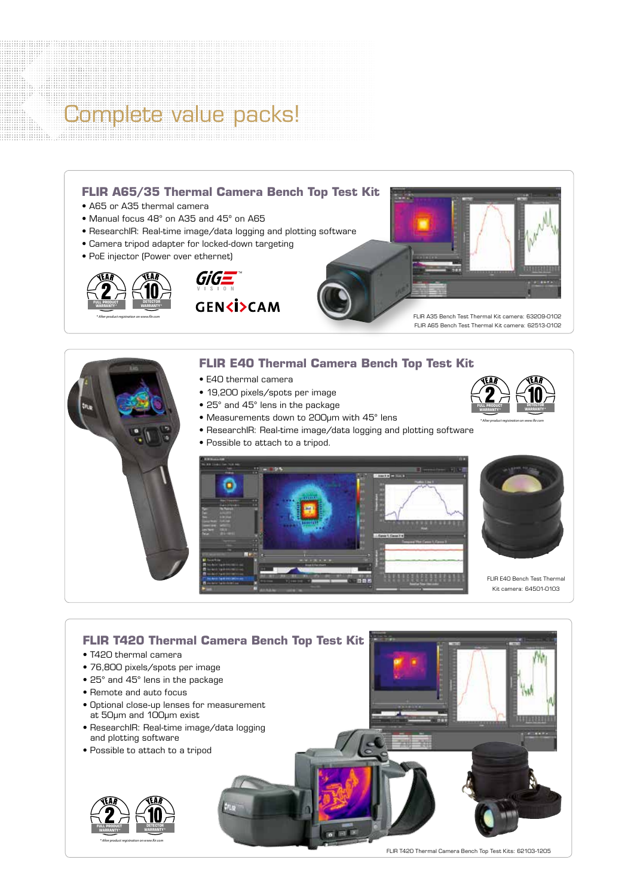## Complete value packs!



FLIR E40 Bench Test Thermal Kit camera: 64501-0103